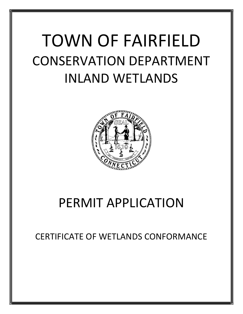# TOWN OF FAIRFIELD CONSERVATION DEPARTMENT INLAND WETLANDS



## PERMIT APPLICATION

CERTIFICATE OF WETLANDS CONFORMANCE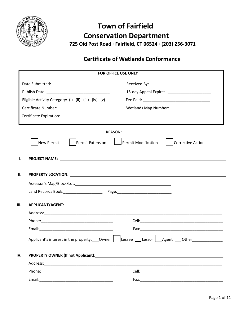

## **Town of Fairfield Conservation Department 725 Old Post Road ∙ Fairfield, CT 06524 ∙ (203) 256‐3071**

### **Certificate of Wetlands Conformance**

|                                                                                                                                                                                                                                            | FOR OFFICE USE ONLY                       |
|--------------------------------------------------------------------------------------------------------------------------------------------------------------------------------------------------------------------------------------------|-------------------------------------------|
|                                                                                                                                                                                                                                            |                                           |
|                                                                                                                                                                                                                                            |                                           |
| Eligible Activity Category: (i) (ii) (iii) (iv) (v)                                                                                                                                                                                        |                                           |
|                                                                                                                                                                                                                                            | Wetlands Map Number: ____________________ |
|                                                                                                                                                                                                                                            |                                           |
| REASON:                                                                                                                                                                                                                                    |                                           |
| New Permit<br>Permit Extension                                                                                                                                                                                                             | Permit Modification<br>Corrective Action  |
| Ι.                                                                                                                                                                                                                                         |                                           |
| П.                                                                                                                                                                                                                                         |                                           |
|                                                                                                                                                                                                                                            |                                           |
|                                                                                                                                                                                                                                            |                                           |
|                                                                                                                                                                                                                                            |                                           |
|                                                                                                                                                                                                                                            |                                           |
|                                                                                                                                                                                                                                            |                                           |
|                                                                                                                                                                                                                                            |                                           |
|                                                                                                                                                                                                                                            |                                           |
| <b>PROPERTY OWNER (If not Applicant):</b> Note that the set of the set of the set of the set of the set of the set of the set of the set of the set of the set of the set of the set of the set of the set of the set of the set of<br>IV. |                                           |
|                                                                                                                                                                                                                                            |                                           |
|                                                                                                                                                                                                                                            |                                           |
| Email:                                                                                                                                                                                                                                     |                                           |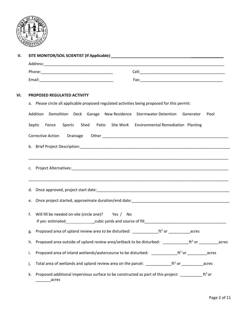

| а. | PROPOSED REGULATED ACTIVITY<br>Please circle all applicable proposed regulated activities being proposed for this permit:                |
|----|------------------------------------------------------------------------------------------------------------------------------------------|
|    | Addition Demolition Deck Garage New Residence Stormwater Detention Generator<br>Pool                                                     |
|    | Shed Patio Site Work Environmental Remediation Planting<br>Septic<br>Sports<br>Fence                                                     |
|    |                                                                                                                                          |
|    |                                                                                                                                          |
|    |                                                                                                                                          |
| d. |                                                                                                                                          |
| e. |                                                                                                                                          |
| f. | Will fill be needed on-site (circle one)? Yes / No                                                                                       |
|    | g. Proposed area of upland review area to be disturbed: $\frac{1}{\sqrt{1-\frac{1}{n}}}\int_0^1 e^{-\frac{1}{n}} e^{-\frac{1}{n}}$ acres |
| h. | Proposed area outside of upland review area/setback to be disturbed: ____________ft <sup>2</sup> or _________<br>acres                   |
| i. | Proposed area of inland wetlands/watercourse to be disturbed: ___________________tt <sup>2</sup> or ___________acres                     |
| j. |                                                                                                                                          |
| k. | Proposed additional impervious surface to be constructed as part of this project: $\text{ft}^2$ or<br>acres                              |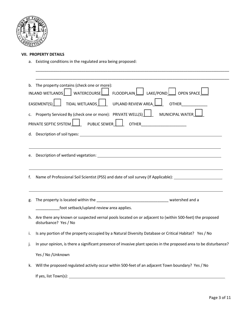

#### **VII. PROPERTY DETAILS**

a. Existing conditions in the regulated area being proposed:

|    | $INLAND WETLANDS$ WATERCOURSE FLOODPLAIN $L$ LAKE/POND<br>$\Box$ open space $\mathsf L$                                                                                                                         |
|----|-----------------------------------------------------------------------------------------------------------------------------------------------------------------------------------------------------------------|
|    | TIDAL WETLANDS  <br>UPLAND REVIEW AREA<br>EASEMENT(S)<br><b>OTHER</b>                                                                                                                                           |
|    | c. Property Serviced By (check one or more): PRIVATE WELL(S)<br>MUNICIPAL WATER                                                                                                                                 |
|    | PUBLIC SEWER<br>PRIVATE SEPTIC SYSTEM                                                                                                                                                                           |
|    |                                                                                                                                                                                                                 |
|    |                                                                                                                                                                                                                 |
| е. | Description of wetland vegetation: Letter and the state of the state of the state of the state of the state of                                                                                                  |
|    |                                                                                                                                                                                                                 |
|    |                                                                                                                                                                                                                 |
| f. | ,我们也不会有什么。""我们的人,我们也不会有什么?""我们的人,我们也不会有什么?""我们的人,我们也不会有什么?""我们的人,我们也不会有什么?""我们的人<br>Name of Professional Soil Scientist (PSS) and date of soil survey (If Applicable): 1992 1994                                |
|    |                                                                                                                                                                                                                 |
| g. |                                                                                                                                                                                                                 |
|    | _foot setback/upland review area applies.                                                                                                                                                                       |
| h. | disturbance? Yes / No                                                                                                                                                                                           |
| i. | Are there any known or suspected vernal pools located on or adjacent to (within 500-feet) the proposed<br>Is any portion of the property occupied by a Natural Diversity Database or Critical Habitat? Yes / No |
| j. | In your opinion, is there a significant presence of invasive plant species in the proposed area to be disturbance?                                                                                              |
|    | Yes / No / Unknown                                                                                                                                                                                              |

\_\_\_\_\_\_\_\_\_\_\_\_\_\_\_\_\_\_\_\_\_\_\_\_\_\_\_\_\_\_\_\_\_\_\_\_\_\_\_\_\_\_\_\_\_\_\_\_\_\_\_\_\_\_\_\_\_\_\_\_\_\_\_\_\_\_\_\_\_\_\_\_\_\_\_\_\_\_\_\_\_\_\_\_\_\_\_\_\_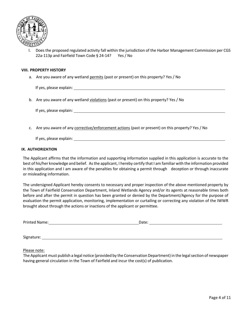

l. Does the proposed regulated activity fall within the jurisdiction of the Harbor Management Commission per CGS 22a‐113p and Fairfield Town Code § 24‐14? Yes / No

#### **VIII. PROPERTY HISTORY**

a. Are you aware of any wetland permits (past or present) on this property? Yes / No

If yes, please explain:

b. Are you aware of any wetland violations (past or present) on this property? Yes / No

If yes, please explain:

c. Are you aware of any corrective/enforcement actions (past or present) on this property? Yes / No

If yes, please explain:

#### **IX. AUTHORIZATION**

The Applicant affirms that the information and supporting information supplied in this application is accurate to the best of his/her knowledge and belief. As the applicant, I hereby certify that I am familiar with the information provided in this application and I am aware of the penalties for obtaining a permit through deception or through inaccurate or misleading information.

The undersigned Applicant hereby consents to necessary and proper inspection of the above mentioned property by the Town of Fairfield Conservation Department, Inland Wetlands Agency and/or its agents at reasonable times both before and after the permit in question has been granted or denied by the Department/Agency for the purpose of evaluation the permit application, monitoring, implementation or curtailing or correcting any violation of the IWWR brought about through the actions or inactions of the applicant or permittee.

| Drir<br>د rn<br>$\sim$ IV $\sim$<br>. | <br>--- |  |
|---------------------------------------|---------|--|
|                                       |         |  |

Signature: when the state of the state of the state of the state of the state of the state of the state of the state of the state of the state of the state of the state of the state of the state of the state of the state o

Please note:

The Applicant must publish a legal notice (provided by the Conservation Department) in the legal section of newspaper having general circulation in the Town of Fairfield and incur the cost(s) of publication.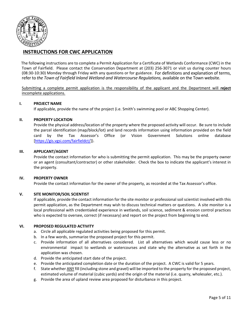

#### **INSTRUCTIONS FOR CWC APPLICATION**

The following instructions are to complete a Permit Application for a Certificate of Wetlands Conformance (CWC) in the Town of Fairfield. Please contact the Conservation Department at (203) 256‐3071 or visit us during counter hours (08:30‐10:30) Monday through Friday with any questions or for guidance. For definitions and explanation of terms, refer to *the Town of Fairfield Inland Wetland and Watercourse Regulations,* available on the Town website.

 Submitting a complete permit application is the responsibility of the applicant and the Department will **reject** incomplete applications.

#### **I. PROJECT NAME**

If applicable, provide the name of the project (i.e. Smith's swimming pool or ABC Shopping Center).

#### **II. PROPERTY LOCATION**

Provide the physical address/location of the property where the proposed activity will occur. Be sure to include the parcel identification (map/block/lot) and land records information using information provided on the field card by the Tax Assessor's Office (or Vision Government Solutions online database [https://gis.vgsi.com/fairfieldct/]).

#### **III. APPLICANT/AGENT**

Provide the contact information for who is submitting the permit application. This may be the property owner or an agent (consultant/contractor) or other stakeholder. Check the box to indicate the applicant's interest in the property.

#### **IV. PROPERTY OWNER**

Provide the contact information for the owner of the property, as recorded at the Tax Assessor's office.

#### **V. SITE MONITOR/SOIL SCIENTIST**

If applicable, provide the contact information for the site monitor or professional soil scientist involved with this permit application, as the Department may wish to discuss technical matters or questions. A site monitor is a local professional with credentialed experience in wetlands, soil science, sediment & erosion control practices who is expected to oversee, correct (if necessary) and report on the project from beginning to end.

#### **VI. PROPOSED REGULATED ACTIVITY**

- a. Circle all applicable regulated activities being proposed for this permit.
- b. In a few words, summarize the proposed project for this permit.
- c. Provide information of all alternatives considered. List all alternatives which would cause less or no environmental impact to wetlands or watercourses and state why the alternative as set forth in the application was chosen.
- d. Provide the anticipated start date of the project.
- e. Provide the anticipated completion date or the duration of the project. A CWC is valid for 5 years.
- f. State whether ANY fill (including stone and gravel) will be imported to the property for the proposed project, estimated volume of material (cubic yards) and the origin of the material (i.e. quarry, wholesaler, etc.).
- g. Provide the area of upland review area proposed for disturbance in this project.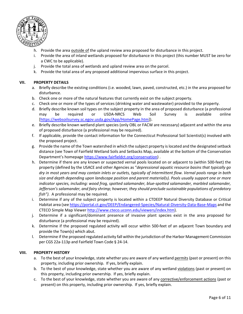

- h. Provide the area outside of the upland review area proposed for disturbance in this project.
- i. Provide the area of inland wetlands proposed for disturbance in this project (this number MUST be zero for a CWC to be applicable).
- j. Provide the total area of wetlands and upland review area on the parcel.
- k. Provide the total area of any proposed additional impervious surface in this project.

#### **VII. PROPERTY DETAILS**

- a. Briefly describe the existing conditions (i.e. wooded, lawn, paved, constructed, etc.) in the area proposed for disturbance.
- b. Check one or more of the natural features that currently exist on the subject property.
- c. Check one or more of the types of services (drinking water and wastewater) provided to the property.
- d. Briefly describe known soil types on the subject property in the area of proposed disturbance (a professional may be required or USDA‐NRCS Web Soil Survey is available online [https://websoilsurvey.sc.egov.usda.gov/App/HomePage.htm]).
- e. Briefly describe known wetland plant species (only OBL or FACW are necessary) adjacent and within the area of proposed disturbance (a professional may be required).
- f. If applicable, provide the contact information for the Connecticut Professional Soil Scientist(s) involved with the proposed project.
- g. Provide the name of the Town watershed in which the subject property is located and the designated setback distance (see Town of Fairfield Wetland Soils and Setbacks Map, available at the bottom of the Conservation Department's homepage https://www.fairfieldct.org/conservation) .
- h. Determine if there are any known or suspected vernal pools located on or adjacent to (within 500‐feet) the property (defined by the USACE and other Agencies as "*depressional aquatic resource basins that typically go dry in most years and may contain inlets or outlets, typically of intermittent flow. Vernal pools range in both size and depth depending upon landscape position and parent material(s). Pools usually support one or more indicator species, including: wood frog, spotted salamander, blue‐spotted salamander, marbled salamander, Jefferson's salamander, and fairy shrimp; however, they should preclude sustainable populations of predatory fish").*  A professional may be required.
- i. Determine if any of the subject property is located within a CTDEEP Natural Diversity Database or Critical Habitat area (see https://portal.ct.gov/DEEP/Endangered‐Species/Natural‐Diversity‐Data‐Base‐Maps and the CTECO Simple Map Viewer http://www.cteco.uconn.edu/viewers/index.htm).
- j. Determine if a significant/dominant presence of invasive plant species exist in the area proposed for disturbance (a professional may be required).
- k. Determine if the proposed regulated activity will occur within 500‐feet of an adjacent Town boundary and provide the Town(s) which abut.
- l. Determine if the proposed regulated activity fall within the jurisdiction of the Harbor Management Commission per CGS 22a‐113p and Fairfield Town Code § 24‐14.

#### **VIII. PROPERTY HISTORY**

- a. To the best of your knowledge, state whether you are aware of any wetland permits (past or present) on this property, including prior ownership. If yes, briefly explain.
- b. To the best of your knowledge, state whether you are aware of any wetland violations (past or present) on this property, including prior ownership. If yes, briefly explain.
- c. To the best of your knowledge, state whether you are aware of any corrective/enforcement actions (past or present) on this property, including prior ownership. If yes, briefly explain.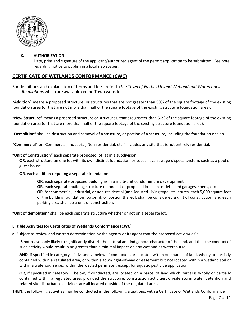

#### **IX. AUTHORIZATION**

Date, print and signature of the applicant/authorized agent of the permit application to be submitted. See note regarding notice to publish in a local newspaper.

#### **CERTIFICATE OF WETLANDS CONFORMANCE (CWC)**

For definitions and explanation of terms and fees, refer to *the Town of Fairfield Inland Wetland and Watercourse Regulations* which are available on the Town website.

"**Addition**" means a proposed structure, or structures that are not greater than 50% of the square footage of the existing foundation area (or that are not more than half of the square footage of the existing structure foundation area).

**"New Structure"** means a proposed structure or structures, that are greater than 50% of the square footage of the existing foundation area (or that are more than half of the square footage of the existing structure foundation area).

"**Demolition"** shall be destruction and removal of a structure, or portion of a structure, including the foundation or slab.

**"Commercial"** or "Commercial, Industrial, Non‐residential, etc." includes any site that is not entirely residential.

**"Unit of Construction"** each separate proposed lot, as in a subdivision;

**OR**, each structure on one lot with its own distinct foundation, or subsurface sewage disposal system, such as a pool or guest house

**OR**, each addition requiring a separate foundation

**OR**, each separate proposed building as in a multi-unit condominium development

**OR**, each separate building structure on one lot or proposed lot such as detached garages, sheds, etc.

**OR**, for commercial, industrial, or non‐residential (and Assisted‐Living type) structures, each 5,000 square feet of the building foundation footprint, or portion thereof, shall be considered a unit of construction, and each parking area shall be a unit of construction.

**"Unit of demolition**" shall be each separate structure whether or not on a separate lot.

#### **Eligible Activities for Certificates of Wetlands Conformance (CWC)**

**a.** Subject to review and written determination by the agency or its agent that the proposed activity(ies):

**IS** not reasonably likely to significantly disturb the natural and indigenous character of the land, and that the conduct of such activity would result in no greater than a minimal impact on any wetland or watercourse;

**AND**, if specified in category i, ii, iv, and v, below, if conducted, are located within one parcel of land, wholly or partially contained within a regulated area, or within a town right‐of‐way or easement but not located within a wetland soil or within a watercourse i.e., within the wetted perimeter, except for aquatic pesticide application.

**OR**, if specified in category iii below, if conducted, are located on a parcel of land which parcel is wholly or partially contained within a regulated area, provided the structure, construction activities, on‐site storm water detention and related site disturbance activities are all located outside of the regulated area.

**THEN**, the following activities may be conducted in the following situations, with a Certificate of Wetlands Conformance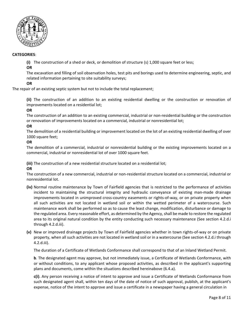

#### **CATEGORIES**:

**(i)** The construction of a shed or deck, or demolition of structure (s) 1,000 square feet or less;

#### **OR**

The excavation and filling of soil observation holes, test pits and borings used to determine engineering, septic, and related information pertaining to site suitability surveys;

#### **OR**

The repair of an existing septic system but not to include the total replacement;

**(ii)** The construction of an addition to an existing residential dwelling or the construction or renovation of improvements located on a residential lot;

#### **OR**

The construction of an addition to an existing commercial, industrial or non-residential building or the construction or renovation of improvements located on a commercial, industrial or nonresidential lot;

#### **OR**

The demolition of a residential building or improvement located on the lot of an existing residential dwelling of over 1000 square feet;

#### **OR**

The demolition of a commercial, industrial or nonresidential building or the existing improvements located on a commercial, industrial or nonresidential lot of over 1000 square feet.

**(iii)** The construction of a new residential structure located on a residential lot;

#### **OR**

The construction of a new commercial, industrial or non‐residential structure located on a commercial, industrial or nonresidential lot.

- **(iv)** Normal routine maintenance by Town of Fairfield agencies that is restricted to the performance of activities incident to maintaining the structural integrity and hydraulic conveyance of existing man-made drainage improvements located in unimproved cross-country easements or rights-of-way, or on private property when all such activities are not located in wetland soil or within the wetted perimeter of a watercourse. Such maintenance work shall be performed so as to cause the least change, modification, disturbance or damage to the regulated area. Every reasonable effort, as determined by the Agency, shall be made to restore the regulated area to its original natural condition by the entity conducting such necessary maintenance (See section 4.2.d.i through 4.2.d.iii).
- **(v)** New or improved drainage projects by Town of Fairfield agencies whether in town rights‐of‐way or on private property, when all such activities are not located in wetland soil or in a watercourse (See section 4.2.d.i through 4.2.d.iii).

The duration of a Certificate of Wetlands Conformance shall correspond to that of an Inland Wetland Permit.

**b**. The designated agent may approve, but not immediately issue, a Certificate of Wetlands Conformance, with or without conditions, to any applicant whose proposed activities, as described in the applicant's supporting plans and documents, come within the situations described hereinabove (6.4.a).

**c(i)**. Any person receiving a notice of intent to approve and issue a Certificate of Wetlands Conformance from such designated agent shall, within ten days of the date of notice of such approval, publish, at the applicant's expense, notice of the intent to approve and issue a certificate in a newspaper having a general circulation in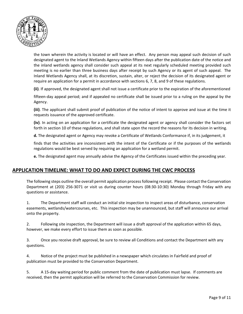

the town wherein the activity is located or will have an effect. Any person may appeal such decision of such designated agent to the Inland Wetlands Agency within fifteen days after the publication date of the notice and the inland wetlands agency shall consider such appeal at its next regularly scheduled meeting provided such meeting is no earlier than three business days after receipt by such Agency or its agent of such appeal. The Inland Wetlands Agency shall, at its discretion, sustain, alter, or reject the decision of its designated agent or require an application for a permit in accordance with sections 6, 7, 8, and 9 of these regulations.

**(ii)**. If approved, the designated agent shall not issue a certificate prior to the expiration of the aforementioned

fifteen-day appeal period; and if appealed no certificate shall be issued prior to a ruling on the appeal by the Agency.

**(iii)**. The applicant shall submit proof of publication of the notice of intent to approve and issue at the time it requests issuance of the approved certificate.

**(iv)**. In acting on an application for a certificate the designated agent or agency shall consider the factors set forth in section 10 of these regulations, and shall state upon the record the reasons for its decision in writing.

**d.** The designated agent or Agency may revoke a Certificate of Wetlands Conformance if, in its judgement, it

finds that the activities are inconsistent with the intent of the Certificate or if the purposes of the wetlands regulations would be best served by requiring an application for a wetland permit.

**e.** The designated agent may annually advise the Agency of the Certificates issued within the preceding year.

#### **APPLICATION TIMELINE: WHAT TO DO AND EXPECT DURING THE CWC PROCESS**

The following steps outline the overall permit application process following receipt. Please contact the Conservation Department at (203) 256-3071 or visit us during counter hours (08:30-10:30) Monday through Friday with any questions or assistance.

1. The Department staff will conduct an initial site inspection to inspect areas of disturbance, conservation easements, wetlands/watercourses, etc. This inspection may be unannounced, but staff will announce our arrival onto the property.

2. Following site inspection, the Department will issue a draft approval of the application within 65 days, however, we make every effort to issue them as soon as possible.

3. Once you receive draft approval, be sure to review all Conditions and contact the Department with any questions.

4. Notice of the project must be published in a newspaper which circulates in Fairfield and proof of publication must be provided to the Conservation Department.

5. A 15-day waiting period for public comment from the date of publication must lapse. If comments are received, then the permit application will be referred to the Conservation Commission for review.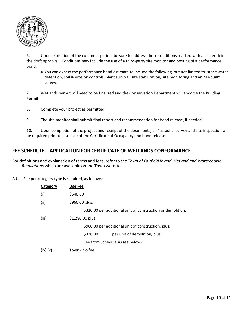

6. Upon expiration of the comment period, be sure to address those conditions marked with an asterisk in the draft approval. Conditions may include the use of a third‐party site monitor and posting of a performance bond.

 You can expect the performance bond estimate to include the following, but not limited to: stormwater detention, soil & erosion controls, plant survival, site stabilization, site monitoring and an "as‐built" survey.

7. Wetlands permit will need to be finalized and the Conservation Department will endorse the Building Permit

8. Complete your project as permitted.

9. The site monitor shall submit final report and recommendation for bond release, if needed.

10. Upon completion of the project and receipt of the documents, an "as-built" survey and site inspection will be required prior to issuance of the Certificate of Occupancy and bond release.

#### **FEE SCHEDULE – APPLICATION FOR CERTIFICATE OF WETLANDS CONFORMANCE**

For definitions and explanation of terms and fees, refer to *the Town of Fairfield Inland Wetland and Watercourse Regulations* which are available on the Town website.

A Use Fee per category type is required, as follows:

| Category     | Use Fee          |                                                             |
|--------------|------------------|-------------------------------------------------------------|
| (i)          | \$640.00         |                                                             |
| (ii)         | \$960.00 plus:   |                                                             |
|              |                  | \$320.00 per additional unit of construction or demolition. |
| (iii)        | \$1,280.00 plus: |                                                             |
|              |                  | \$960.00 per additional unit of construction, plus:         |
|              | \$320.00         | per unit of demolition, plus:                               |
|              |                  | Fee from Schedule A (see below)                             |
| $(iv)$ $(v)$ | Town - No fee    |                                                             |